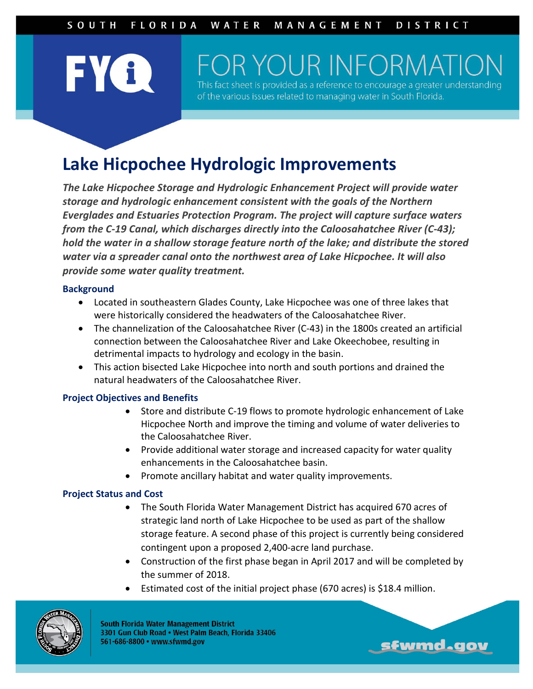# **FYA**

## OR YOUR INFORMATI

This fact sheet is provided as a reference to encourage a greater of the various issues related to managing water in South Florida.

### **Lake Hicpochee Hydrologic Improvements**

*The Lake Hicpochee Storage and Hydrologic Enhancement Project will provide water storage and hydrologic enhancement consistent with the goals of the Northern Everglades and Estuaries Protection Program. The project will capture surface waters from the C-19 Canal, which discharges directly into the Caloosahatchee River (C-43); hold the water in a shallow storage feature north of the lake; and distribute the stored water via a spreader canal onto the northwest area of Lake Hicpochee. It will also provide some water quality treatment.*

#### **Background**

- Located in southeastern Glades County, Lake Hicpochee was one of three lakes that were historically considered the headwaters of the Caloosahatchee River.
- The channelization of the Caloosahatchee River (C-43) in the 1800s created an artificial connection between the Caloosahatchee River and Lake Okeechobee, resulting in detrimental impacts to hydrology and ecology in the basin.
- This action bisected Lake Hicpochee into north and south portions and drained the natural headwaters of the Caloosahatchee River.

#### **Project Objectives and Benefits**

- Store and distribute C-19 flows to promote hydrologic enhancement of Lake Hicpochee North and improve the timing and volume of water deliveries to the Caloosahatchee River.
- Provide additional water storage and increased capacity for water quality enhancements in the Caloosahatchee basin.
- Promote ancillary habitat and water quality improvements.

#### **Project Status and Cost**

- The South Florida Water Management District has acquired 670 acres of strategic land north of Lake Hicpochee to be used as part of the shallow storage feature. A second phase of this project is currently being considered contingent upon a proposed 2,400-acre land purchase.
- Construction of the first phase began in April 2017 and will be completed by the summer of 2018.

sfwmd.gov

Estimated cost of the initial project phase (670 acres) is \$18.4 million.